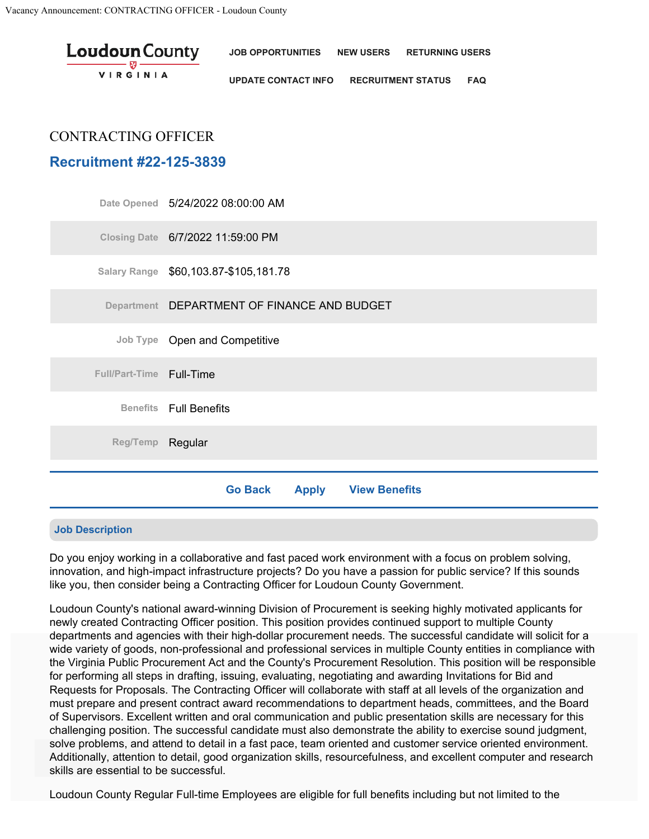| <b>Loudoun</b> County | <b>JOB OPPORTUNITIES</b>   | NEW USERS RETURNING USERS |            |
|-----------------------|----------------------------|---------------------------|------------|
| <b>VIRGINIA</b>       | <b>UPDATE CONTACT INFO</b> | <b>RECRUITMENT STATUS</b> | <b>FAQ</b> |

# CONTRACTING OFFICER

# **Recruitment #22-125-3839**

|                          | Date Opened 5/24/2022 08:00:00 AM                      |
|--------------------------|--------------------------------------------------------|
|                          | Closing Date 6/7/2022 11:59:00 PM                      |
|                          | Salary Range \$60,103.87-\$105,181.78                  |
|                          | Department DEPARTMENT OF FINANCE AND BUDGET            |
|                          | Job Type Open and Competitive                          |
| Full/Part-Time Full-Time |                                                        |
|                          | <b>Benefits</b> Full Benefits                          |
| Reg/Temp Regular         |                                                        |
|                          |                                                        |
|                          | <b>View Benefits</b><br><b>Go Back</b><br><b>Apply</b> |

#### **Job Description**

Do you enjoy working in a collaborative and fast paced work environment with a focus on problem solving, innovation, and high-impact infrastructure projects? Do you have a passion for public service? If this sounds like you, then consider being a Contracting Officer for Loudoun County Government.

Loudoun County's national award-winning Division of Procurement is seeking highly motivated applicants for newly created Contracting Officer position. This position provides continued support to multiple County departments and agencies with their high-dollar procurement needs. The successful candidate will solicit for a wide variety of goods, non-professional and professional services in multiple County entities in compliance with the Virginia Public Procurement Act and the County's Procurement Resolution. This position will be responsible<br>Cooperfamily a all states in derftion is suited as a policylian as a substitute and supporting laughting for Bi for performing all steps in drafting, issuing, evaluating, negotiating and awarding Invitations for Bid and Requests for Proposals. The Contracting Officer will collaborate with staff at all levels of the organization and must prepare and present contract award recommendations to department heads, committees, and the Board of Supervisors. Excellent written and oral communication and public presentation skills are necessary for this challenging position. The successful candidate must also demonstrate the ability to exercise sound judgment, solve problems, and attend to detail in a fast pace, team oriented and customer service oriented environment. Additionally, attention to detail, good organization skills, resourcefulness, and excellent computer and research skills are essential to be successful.

Loudoun County Regular Full-time Employees are eligible for full benefits including but not limited to the